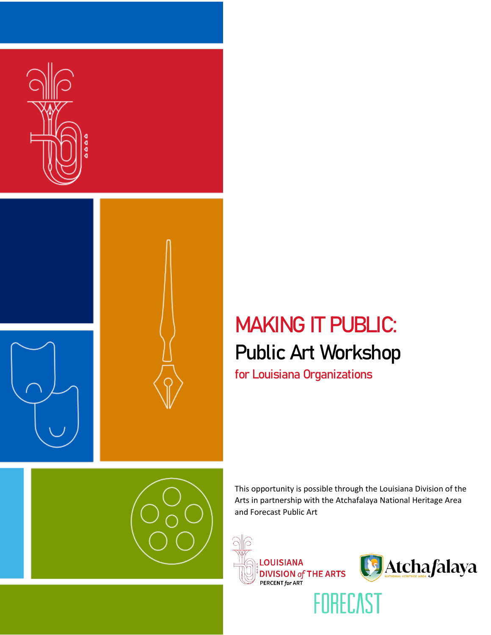



# MAKING IT PUBLIC: Public Art Workshop

for Louisiana Organizations

This opportunity is possible through the Louisiana Division of the Arts in partnership with the Atchafalaya National Heritage Area and Forecast Public Art





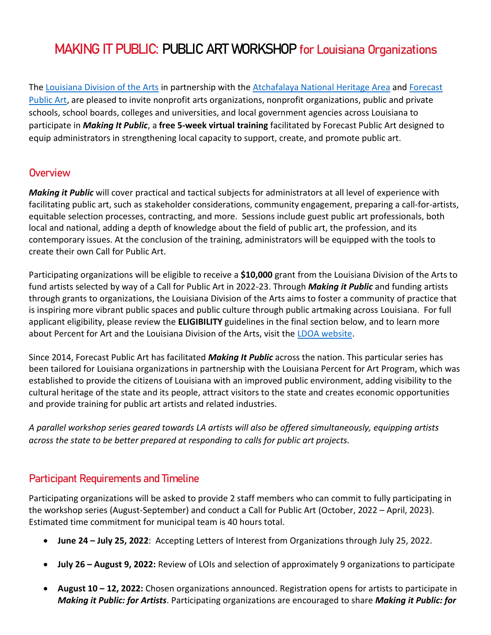## MAKING IT PUBLIC: PUBLIC ART WORKSHOP for Louisiana Organizations

The [Louisiana Division of the Arts](https://www.crt.state.la.us/cultural-development/arts/) in partnership with the [Atchafalaya National Heritage Area](http://www.atchafalaya.org/) and Forecast [Public Art,](https://forecastpublicart.org/) are pleased to invite nonprofit arts organizations, nonprofit organizations, public and private schools, school boards, colleges and universities, and local government agencies across Louisiana to participate in *Making It Public*, a **free 5-week virtual training** facilitated by Forecast Public Art designed to equip administrators in strengthening local capacity to support, create, and promote public art.

## **Overview**

*Making it Public* will cover practical and tactical subjects for administrators at all level of experience with facilitating public art, such as stakeholder considerations, community engagement, preparing a call-for-artists, equitable selection processes, contracting, and more. Sessions include guest public art professionals, both local and national, adding a depth of knowledge about the field of public art, the profession, and its contemporary issues. At the conclusion of the training, administrators will be equipped with the tools to create their own Call for Public Art.

Participating organizations will be eligible to receive a **\$10,000** grant from the Louisiana Division of the Arts to fund artists selected by way of a Call for Public Art in 2022-23. Through *Making it Public* and funding artists through grants to organizations, the Louisiana Division of the Arts aims to foster a community of practice that is inspiring more vibrant public spaces and public culture through public artmaking across Louisiana. For full applicant eligibility, please review the **ELIGIBILITY** guidelines in the final section below, and to learn more about Percent for Art and the Louisiana Division of the Arts, visit the [LDOA website.](https://www.crt.state.la.us/cultural-development/arts/index)

Since 2014, Forecast Public Art has facilitated *Making It Public* across the nation. This particular series has been tailored for Louisiana organizations in partnership with the Louisiana Percent for Art Program, which was established to provide the citizens of Louisiana with an improved public environment, adding visibility to the cultural heritage of the state and its people, attract visitors to the state and creates economic opportunities and provide training for public art artists and related industries.

*A parallel workshop series geared towards LA artists will also be offered simultaneously, equipping artists across the state to be better prepared at responding to calls for public art projects.*

## Participant Requirements and Timeline

Participating organizations will be asked to provide 2 staff members who can commit to fully participating in the workshop series (August-September) and conduct a Call for Public Art (October, 2022 – April, 2023). Estimated time commitment for municipal team is 40 hours total.

- **June 24 – July 25, 2022**: Accepting Letters of Interest from Organizations through July 25, 2022.
- **July 26 – August 9, 2022:** Review of LOIs and selection of approximately 9 organizations to participate
- **August 10 – 12, 2022:** Chosen organizations announced. Registration opens for artists to participate in *Making it Public: for Artists*. Participating organizations are encouraged to share *Making it Public: for*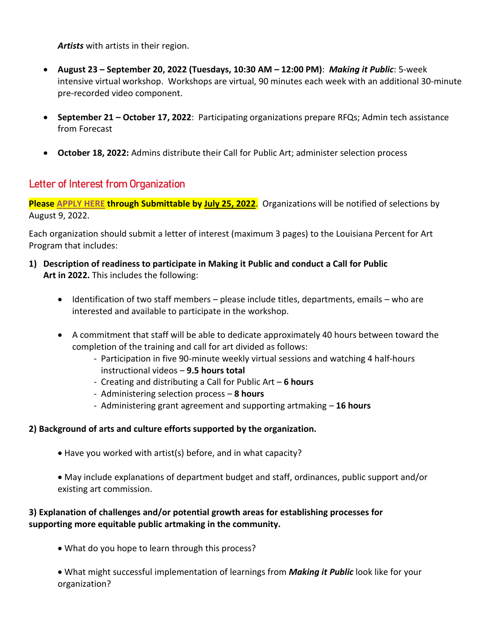*Artists* with artists in their region.

- **August 23 – September 20, 2022 (Tuesdays, 10:30 AM – 12:00 PM)**: *Making it Public*: 5‐week intensive virtual workshop. Workshops are virtual, 90 minutes each week with an additional 30‐minute pre‐recorded video component.
- **September 21 – October 17, 2022**: Participating organizations prepare RFQs; Admin tech assistance from Forecast
- **October 18, 2022:** Admins distribute their Call for Public Art; administer selection process

## Letter of Interest from Organization

**Please [APPLY HERE](https://forecastpublicart.submittable.com/submit/6767fa02-070f-4f1e-aaba-26584d2ce6dd/louisiana-office-of-cultural-development-locd-presents-making-it-public-for-a) through Submittable by July 25, 2022**. Organizations will be notified of selections by August 9, 2022.

Each organization should submit a letter of interest (maximum 3 pages) to the Louisiana Percent for Art Program that includes:

- **1) Description of readiness to participate in Making it Public and conduct a Call for Public Art in 2022.** This includes the following:
	- Identification of two staff members please include titles, departments, emails who are interested and available to participate in the workshop.
	- A commitment that staff will be able to dedicate approximately 40 hours between toward the completion of the training and call for art divided as follows:
		- Participation in five 90-minute weekly virtual sessions and watching 4 half-hours instructional videos – **9.5 hours total**
		- Creating and distributing a Call for Public Art **6 hours**
		- Administering selection process **8 hours**
		- Administering grant agreement and supporting artmaking **16 hours**

### **2) Background of arts and culture efforts supported by the organization.**

- Have you worked with artist(s) before, and in what capacity?
- May include explanations of department budget and staff, ordinances, public support and/or existing art commission.

### **3) Explanation of challenges and/or potential growth areas for establishing processes for supporting more equitable public artmaking in the community.**

What do you hope to learn through this process?

 What might successful implementation of learnings from *Making it Public* look like for your organization?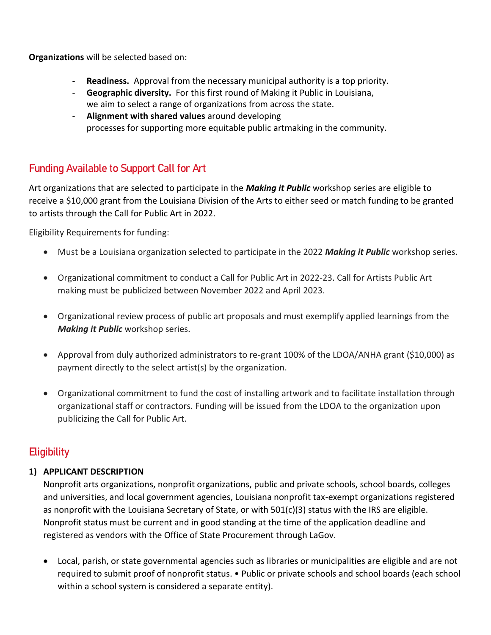**Organizations** will be selected based on:

- **Readiness.** Approval from the necessary municipal authority is a top priority.
- **Geographic diversity.** For this first round of Making it Public in Louisiana,
- we aim to select a range of organizations from across the state. - **Alignment with shared values** around developing
- processes for supporting more equitable public artmaking in the community.

## Funding Available to Support Call for Art

Art organizations that are selected to participate in the *Making it Public* workshop series are eligible to receive a \$10,000 grant from the Louisiana Division of the Arts to either seed or match funding to be granted to artists through the Call for Public Art in 2022.

Eligibility Requirements for funding:

- Must be a Louisiana organization selected to participate in the 2022 *Making it Public* workshop series.
- Organizational commitment to conduct a Call for Public Art in 2022-23. Call for Artists Public Art making must be publicized between November 2022 and April 2023.
- Organizational review process of public art proposals and must exemplify applied learnings from the *Making it Public* workshop series.
- Approval from duly authorized administrators to re-grant 100% of the LDOA/ANHA grant (\$10,000) as payment directly to the select artist(s) by the organization.
- Organizational commitment to fund the cost of installing artwork and to facilitate installation through organizational staff or contractors. Funding will be issued from the LDOA to the organization upon publicizing the Call for Public Art.

## **Eligibility**

## **1) APPLICANT DESCRIPTION**

Nonprofit arts organizations, nonprofit organizations, public and private schools, school boards, colleges and universities, and local government agencies, Louisiana nonprofit tax-exempt organizations registered as nonprofit with the Louisiana Secretary of State, or with 501(c)(3) status with the IRS are eligible. Nonprofit status must be current and in good standing at the time of the application deadline and registered as vendors with the Office of State Procurement through LaGov.

 Local, parish, or state governmental agencies such as libraries or municipalities are eligible and are not required to submit proof of nonprofit status. • Public or private schools and school boards (each school within a school system is considered a separate entity).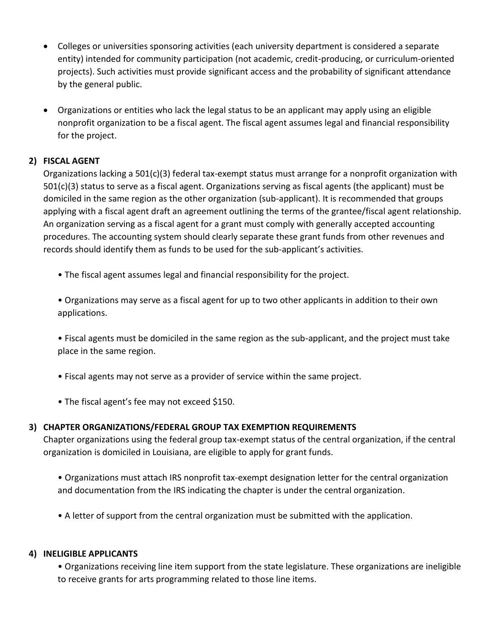- Colleges or universities sponsoring activities (each university department is considered a separate entity) intended for community participation (not academic, credit-producing, or curriculum-oriented projects). Such activities must provide significant access and the probability of significant attendance by the general public.
- Organizations or entities who lack the legal status to be an applicant may apply using an eligible nonprofit organization to be a fiscal agent. The fiscal agent assumes legal and financial responsibility for the project.

#### **2) FISCAL AGENT**

Organizations lacking a 501(c)(3) federal tax-exempt status must arrange for a nonprofit organization with 501(c)(3) status to serve as a fiscal agent. Organizations serving as fiscal agents (the applicant) must be domiciled in the same region as the other organization (sub-applicant). It is recommended that groups applying with a fiscal agent draft an agreement outlining the terms of the grantee/fiscal agent relationship. An organization serving as a fiscal agent for a grant must comply with generally accepted accounting procedures. The accounting system should clearly separate these grant funds from other revenues and records should identify them as funds to be used for the sub-applicant's activities.

- The fiscal agent assumes legal and financial responsibility for the project.
- Organizations may serve as a fiscal agent for up to two other applicants in addition to their own applications.
- Fiscal agents must be domiciled in the same region as the sub-applicant, and the project must take place in the same region.
- Fiscal agents may not serve as a provider of service within the same project.
- The fiscal agent's fee may not exceed \$150.

#### **3) CHAPTER ORGANIZATIONS/FEDERAL GROUP TAX EXEMPTION REQUIREMENTS**

Chapter organizations using the federal group tax-exempt status of the central organization, if the central organization is domiciled in Louisiana, are eligible to apply for grant funds.

• Organizations must attach IRS nonprofit tax-exempt designation letter for the central organization and documentation from the IRS indicating the chapter is under the central organization.

• A letter of support from the central organization must be submitted with the application.

#### **4) INELIGIBLE APPLICANTS**

• Organizations receiving line item support from the state legislature. These organizations are ineligible to receive grants for arts programming related to those line items.